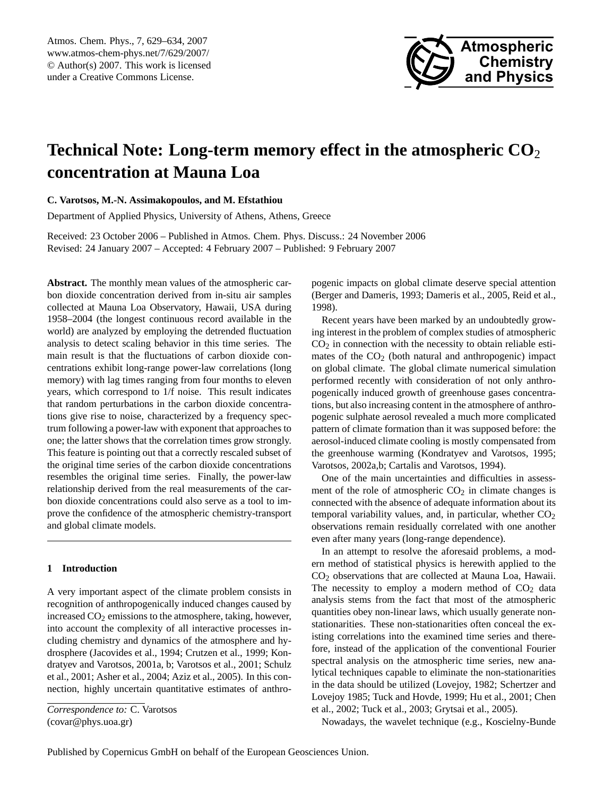

# <span id="page-0-0"></span>**Technical Note: Long-term memory effect in the atmospheric CO**<sup>2</sup> **concentration at Mauna Loa**

## **C. Varotsos, M.-N. Assimakopoulos, and M. Efstathiou**

Department of Applied Physics, University of Athens, Athens, Greece

Received: 23 October 2006 – Published in Atmos. Chem. Phys. Discuss.: 24 November 2006 Revised: 24 January 2007 – Accepted: 4 February 2007 – Published: 9 February 2007

**Abstract.** The monthly mean values of the atmospheric carbon dioxide concentration derived from in-situ air samples collected at Mauna Loa Observatory, Hawaii, USA during 1958–2004 (the longest continuous record available in the world) are analyzed by employing the detrended fluctuation analysis to detect scaling behavior in this time series. The main result is that the fluctuations of carbon dioxide concentrations exhibit long-range power-law correlations (long memory) with lag times ranging from four months to eleven years, which correspond to 1/f noise. This result indicates that random perturbations in the carbon dioxide concentrations give rise to noise, characterized by a frequency spectrum following a power-law with exponent that approaches to one; the latter shows that the correlation times grow strongly. This feature is pointing out that a correctly rescaled subset of the original time series of the carbon dioxide concentrations resembles the original time series. Finally, the power-law relationship derived from the real measurements of the carbon dioxide concentrations could also serve as a tool to improve the confidence of the atmospheric chemistry-transport and global climate models.

## **1 Introduction**

A very important aspect of the climate problem consists in recognition of anthropogenically induced changes caused by increased  $CO<sub>2</sub>$  emissions to the atmosphere, taking, however, into account the complexity of all interactive processes including chemistry and dynamics of the atmosphere and hydrosphere (Jacovides et al., 1994; Crutzen et al., 1999; Kondratyev and Varotsos, 2001a, b; Varotsos et al., 2001; Schulz et al., 2001; Asher et al., 2004; Aziz et al., 2005). In this connection, highly uncertain quantitative estimates of anthropogenic impacts on global climate deserve special attention (Berger and Dameris, 1993; Dameris et al., 2005, Reid et al., 1998).

Recent years have been marked by an undoubtedly growing interest in the problem of complex studies of atmospheric  $CO<sub>2</sub>$  in connection with the necessity to obtain reliable estimates of the  $CO<sub>2</sub>$  (both natural and anthropogenic) impact on global climate. The global climate numerical simulation performed recently with consideration of not only anthropogenically induced growth of greenhouse gases concentrations, but also increasing content in the atmosphere of anthropogenic sulphate aerosol revealed a much more complicated pattern of climate formation than it was supposed before: the aerosol-induced climate cooling is mostly compensated from the greenhouse warming (Kondratyev and Varotsos, 1995; Varotsos, 2002a,b; Cartalis and Varotsos, 1994).

One of the main uncertainties and difficulties in assessment of the role of atmospheric  $CO<sub>2</sub>$  in climate changes is connected with the absence of adequate information about its temporal variability values, and, in particular, whether  $CO<sub>2</sub>$ observations remain residually correlated with one another even after many years (long-range dependence).

In an attempt to resolve the aforesaid problems, a modern method of statistical physics is herewith applied to the CO<sup>2</sup> observations that are collected at Mauna Loa, Hawaii. The necessity to employ a modern method of  $CO<sub>2</sub>$  data analysis stems from the fact that most of the atmospheric quantities obey non-linear laws, which usually generate nonstationarities. These non-stationarities often conceal the existing correlations into the examined time series and therefore, instead of the application of the conventional Fourier spectral analysis on the atmospheric time series, new analytical techniques capable to eliminate the non-stationarities in the data should be utilized (Lovejoy, 1982; Schertzer and Lovejoy 1985; Tuck and Hovde, 1999; Hu et al., 2001; Chen et al., 2002; Tuck et al., 2003; Grytsai et al., 2005).

Nowadays, the wavelet technique (e.g., Koscielny-Bunde

*Correspondence to:* C. Varotsos (covar@phys.uoa.gr)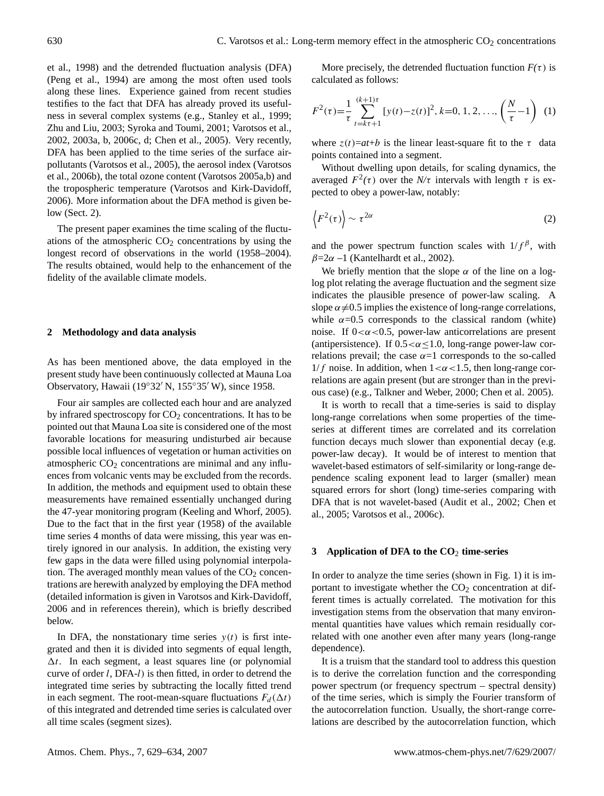et al., 1998) and the detrended fluctuation analysis (DFA) (Peng et al., 1994) are among the most often used tools along these lines. Experience gained from recent studies testifies to the fact that DFA has already proved its usefulness in several complex systems (e.g., Stanley et al., 1999; Zhu and Liu, 2003; Syroka and Toumi, 2001; Varotsos et al., 2002, 2003a, b, 2006c, d; Chen et al., 2005). Very recently, DFA has been applied to the time series of the surface airpollutants (Varotsos et al., 2005), the aerosol index (Varotsos et al., 2006b), the total ozone content (Varotsos 2005a,b) and the tropospheric temperature (Varotsos and Kirk-Davidoff, 2006). More information about the DFA method is given below (Sect. 2).

The present paper examines the time scaling of the fluctuations of the atmospheric  $CO<sub>2</sub>$  concentrations by using the longest record of observations in the world (1958–2004). The results obtained, would help to the enhancement of the fidelity of the available climate models.

### **2 Methodology and data analysis**

As has been mentioned above, the data employed in the present study have been continuously collected at Mauna Loa Observatory, Hawaii (19°32′ N, 155°35′ W), since 1958.

Four air samples are collected each hour and are analyzed by infrared spectroscopy for  $CO<sub>2</sub>$  concentrations. It has to be pointed out that Mauna Loa site is considered one of the most favorable locations for measuring undisturbed air because possible local influences of vegetation or human activities on atmospheric  $CO<sub>2</sub>$  concentrations are minimal and any influences from volcanic vents may be excluded from the records. In addition, the methods and equipment used to obtain these measurements have remained essentially unchanged during the 47-year monitoring program (Keeling and Whorf, 2005). Due to the fact that in the first year (1958) of the available time series 4 months of data were missing, this year was entirely ignored in our analysis. In addition, the existing very few gaps in the data were filled using polynomial interpolation. The averaged monthly mean values of the  $CO<sub>2</sub>$  concentrations are herewith analyzed by employing the DFA method (detailed information is given in Varotsos and Kirk-Davidoff, 2006 and in references therein), which is briefly described below.

In DFA, the nonstationary time series  $y(t)$  is first integrated and then it is divided into segments of equal length,  $\Delta t$ . In each segment, a least squares line (or polynomial curve of order l, DFA-l) is then fitted, in order to detrend the integrated time series by subtracting the locally fitted trend in each segment. The root-mean-square fluctuations  $F_d(\Delta t)$ of this integrated and detrended time series is calculated over all time scales (segment sizes).

More precisely, the detrended fluctuation function  $F(\tau)$  is calculated as follows:

$$
F^{2}(\tau) = \frac{1}{\tau} \sum_{t=k\tau+1}^{(k+1)\tau} [y(t) - z(t)]^{2}, k=0, 1, 2, ..., \left(\frac{N}{\tau} - 1\right) (1)
$$

where  $z(t)=at+b$  is the linear least-square fit to the  $\tau$  data points contained into a segment.

Without dwelling upon details, for scaling dynamics, the averaged  $F^2(\tau)$  over the  $N/\tau$  intervals with length  $\tau$  is expected to obey a power-law, notably:

$$
\left\langle F^2(\tau) \right\rangle \sim \tau^{2\alpha} \tag{2}
$$

and the power spectrum function scales with  $1/f^{\beta}$ , with  $\beta$ =2 $\alpha$  –1 (Kantelhardt et al., 2002).

We briefly mention that the slope  $\alpha$  of the line on a loglog plot relating the average fluctuation and the segment size indicates the plausible presence of power-law scaling. A slope  $\alpha \neq 0.5$  implies the existence of long-range correlations, while  $\alpha$ =0.5 corresponds to the classical random (white) noise. If  $0 < \alpha < 0.5$ , power-law anticorrelations are present (antipersistence). If  $0.5 < \alpha \leq 1.0$ , long-range power-law correlations prevail; the case  $\alpha=1$  corresponds to the so-called  $1/f$  noise. In addition, when  $1 < \alpha < 1.5$ , then long-range correlations are again present (but are stronger than in the previous case) (e.g., Talkner and Weber, 2000; Chen et al. 2005).

It is worth to recall that a time-series is said to display long-range correlations when some properties of the timeseries at different times are correlated and its correlation function decays much slower than exponential decay (e.g. power-law decay). It would be of interest to mention that wavelet-based estimators of self-similarity or long-range dependence scaling exponent lead to larger (smaller) mean squared errors for short (long) time-series comparing with DFA that is not wavelet-based (Audit et al., 2002; Chen et al., 2005; Varotsos et al., 2006c).

#### **3 Application of DFA to the CO**<sup>2</sup> **time-series**

In order to analyze the time series (shown in Fig. 1) it is important to investigate whether the  $CO<sub>2</sub>$  concentration at different times is actually correlated. The motivation for this investigation stems from the observation that many environmental quantities have values which remain residually correlated with one another even after many years (long-range dependence).

It is a truism that the standard tool to address this question is to derive the correlation function and the corresponding power spectrum (or frequency spectrum – spectral density) of the time series, which is simply the Fourier transform of the autocorrelation function. Usually, the short-range correlations are described by the autocorrelation function, which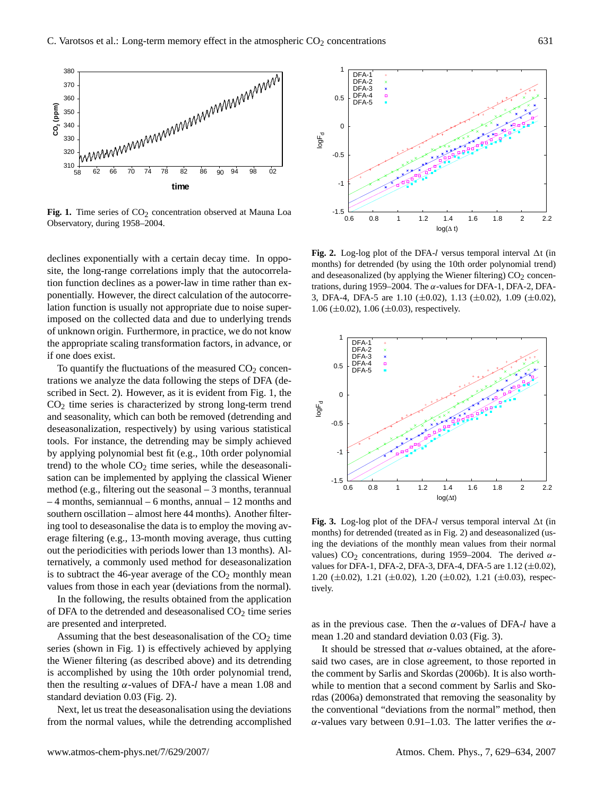

Fig. 1. Time series of CO<sub>2</sub> concentration observed at Mauna Loa Observatory, during 1958–2004.

declines exponentially with a certain decay time. In opposite, the long-range correlations imply that the autocorrelation function declines as a power-law in time rather than exponentially. However, the direct calculation of the autocorrelation function is usually not appropriate due to noise superimposed on the collected data and due to underlying trends of unknown origin. Furthermore, in practice, we do not know the appropriate scaling transformation factors, in advance, or if one does exist.

To quantify the fluctuations of the measured  $CO<sub>2</sub>$  concentrations we analyze the data following the steps of DFA (described in Sect. 2). However, as it is evident from Fig. 1, the  $CO<sub>2</sub>$  time series is characterized by strong long-term trend and seasonality, which can both be removed (detrending and deseasonalization, respectively) by using various statistical tools. For instance, the detrending may be simply achieved by applying polynomial best fit (e.g., 10th order polynomial trend) to the whole  $CO<sub>2</sub>$  time series, while the deseasonalisation can be implemented by applying the classical Wiener method (e.g., filtering out the seasonal – 3 months, terannual – 4 months, semiannual – 6 months, annual – 12 months and southern oscillation – almost here 44 months). Another filtering tool to deseasonalise the data is to employ the moving average filtering (e.g., 13-month moving average, thus cutting out the periodicities with periods lower than 13 months). Alternatively, a commonly used method for deseasonalization is to subtract the 46-year average of the  $CO<sub>2</sub>$  monthly mean values from those in each year (deviations from the normal).

In the following, the results obtained from the application of DFA to the detrended and deseasonalised  $CO<sub>2</sub>$  time series are presented and interpreted.

Assuming that the best deseasonalisation of the  $CO<sub>2</sub>$  time series (shown in Fig. 1) is effectively achieved by applying the Wiener filtering (as described above) and its detrending is accomplished by using the 10th order polynomial trend, then the resulting  $\alpha$ -values of DFA-l have a mean 1.08 and standard deviation 0.03 (Fig. 2).

Next, let us treat the deseasonalisation using the deviations from the normal values, while the detrending accomplished



**Fig. 2.** Log-log plot of the DFA-l versus temporal interval  $\Delta t$  (in months) for detrended (by using the 10th order polynomial trend) and deseasonalized (by applying the Wiener filtering)  $CO<sub>2</sub>$  concentrations, during 1959–2004. The  $\alpha$ -values for DFA-1, DFA-2, DFA-3, DFA-4, DFA-5 are 1.10 ( $\pm$ 0.02), 1.13 ( $\pm$ 0.02), 1.09 ( $\pm$ 0.02), 1.06 ( $\pm$ 0.02), 1.06 ( $\pm$ 0.03), respectively.



**Fig. 3.** Log-log plot of the DFA-l versus temporal interval  $\Delta t$  (in months) for detrended (treated as in Fig. 2) and deseasonalized (using the deviations of the monthly mean values from their normal values) CO<sub>2</sub> concentrations, during 1959–2004. The derived  $\alpha$ values for DFA-1, DFA-2, DFA-3, DFA-4, DFA-5 are  $1.12 \ (\pm 0.02)$ , 1.20  $(\pm 0.02)$ , 1.21  $(\pm 0.02)$ , 1.20  $(\pm 0.02)$ , 1.21  $(\pm 0.03)$ , respectively.

as in the previous case. Then the  $\alpha$ -values of DFA-l have a mean 1.20 and standard deviation 0.03 (Fig. 3).

It should be stressed that  $\alpha$ -values obtained, at the aforesaid two cases, are in close agreement, to those reported in the comment by Sarlis and Skordas (2006b). It is also worthwhile to mention that a second comment by Sarlis and Skordas (2006a) demonstrated that removing the seasonality by the conventional "deviations from the normal" method, then α-values vary between 0.91–1.03. The latter verifies the α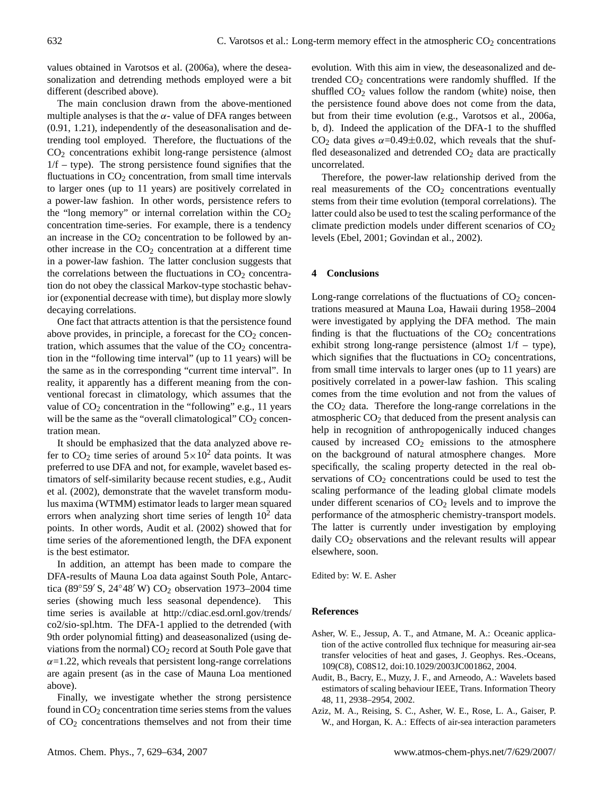values obtained in Varotsos et al. (2006a), where the deseasonalization and detrending methods employed were a bit different (described above).

The main conclusion drawn from the above-mentioned multiple analyses is that the  $\alpha$ - value of DFA ranges between (0.91, 1.21), independently of the deseasonalisation and detrending tool employed. Therefore, the fluctuations of the CO<sup>2</sup> concentrations exhibit long-range persistence (almost  $1/f -$  type). The strong persistence found signifies that the fluctuations in  $CO<sub>2</sub>$  concentration, from small time intervals to larger ones (up to 11 years) are positively correlated in a power-law fashion. In other words, persistence refers to the "long memory" or internal correlation within the  $CO<sub>2</sub>$ concentration time-series. For example, there is a tendency an increase in the  $CO<sub>2</sub>$  concentration to be followed by another increase in the  $CO<sub>2</sub>$  concentration at a different time in a power-law fashion. The latter conclusion suggests that the correlations between the fluctuations in  $CO<sub>2</sub>$  concentration do not obey the classical Markov-type stochastic behavior (exponential decrease with time), but display more slowly decaying correlations.

One fact that attracts attention is that the persistence found above provides, in principle, a forecast for the  $CO<sub>2</sub>$  concentration, which assumes that the value of the  $CO<sub>2</sub>$  concentration in the "following time interval" (up to 11 years) will be the same as in the corresponding "current time interval". In reality, it apparently has a different meaning from the conventional forecast in climatology, which assumes that the value of  $CO<sub>2</sub>$  concentration in the "following" e.g., 11 years will be the same as the "overall climatological"  $CO<sub>2</sub>$  concentration mean.

It should be emphasized that the data analyzed above refer to  $CO_2$  time series of around  $5 \times 10^2$  data points. It was preferred to use DFA and not, for example, wavelet based estimators of self-similarity because recent studies, e.g., Audit et al. (2002), demonstrate that the wavelet transform modulus maxima (WTMM) estimator leads to larger mean squared errors when analyzing short time series of length  $10^2$  data points. In other words, Audit et al. (2002) showed that for time series of the aforementioned length, the DFA exponent is the best estimator.

In addition, an attempt has been made to compare the DFA-results of Mauna Loa data against South Pole, Antarctica (89°59′ S, 24°48′ W) CO<sub>2</sub> observation 1973–2004 time series (showing much less seasonal dependence). This time series is available at [http://cdiac.esd.ornl.gov/trends/](http://cdiac.esd.ornl.gov/trends/co2/sio-spl.htm) [co2/sio-spl.htm.](http://cdiac.esd.ornl.gov/trends/co2/sio-spl.htm) The DFA-1 applied to the detrended (with 9th order polynomial fitting) and deaseasonalized (using deviations from the normal)  $CO<sub>2</sub>$  record at South Pole gave that  $\alpha$ =1.22, which reveals that persistent long-range correlations are again present (as in the case of Mauna Loa mentioned above).

Finally, we investigate whether the strong persistence found in  $CO<sub>2</sub>$  concentration time series stems from the values of CO<sup>2</sup> concentrations themselves and not from their time evolution. With this aim in view, the deseasonalized and detrended  $CO<sub>2</sub>$  concentrations were randomly shuffled. If the shuffled  $CO<sub>2</sub>$  values follow the random (white) noise, then the persistence found above does not come from the data, but from their time evolution (e.g., Varotsos et al., 2006a, b, d). Indeed the application of the DFA-1 to the shuffled CO<sub>2</sub> data gives  $\alpha$ =0.49±0.02, which reveals that the shuffled deseasonalized and detrended  $CO<sub>2</sub>$  data are practically uncorrelated.

Therefore, the power-law relationship derived from the real measurements of the  $CO<sub>2</sub>$  concentrations eventually stems from their time evolution (temporal correlations). The latter could also be used to test the scaling performance of the climate prediction models under different scenarios of  $CO<sub>2</sub>$ levels (Ebel, 2001; Govindan et al., 2002).

#### **4 Conclusions**

Long-range correlations of the fluctuations of  $CO<sub>2</sub>$  concentrations measured at Mauna Loa, Hawaii during 1958–2004 were investigated by applying the DFA method. The main finding is that the fluctuations of the  $CO<sub>2</sub>$  concentrations exhibit strong long-range persistence (almost 1/f – type), which signifies that the fluctuations in  $CO<sub>2</sub>$  concentrations, from small time intervals to larger ones (up to 11 years) are positively correlated in a power-law fashion. This scaling comes from the time evolution and not from the values of the  $CO<sub>2</sub>$  data. Therefore the long-range correlations in the atmospheric  $CO<sub>2</sub>$  that deduced from the present analysis can help in recognition of anthropogenically induced changes caused by increased  $CO<sub>2</sub>$  emissions to the atmosphere on the background of natural atmosphere changes. More specifically, the scaling property detected in the real observations of  $CO<sub>2</sub>$  concentrations could be used to test the scaling performance of the leading global climate models under different scenarios of  $CO<sub>2</sub>$  levels and to improve the performance of the atmospheric chemistry-transport models. The latter is currently under investigation by employing daily CO<sub>2</sub> observations and the relevant results will appear elsewhere, soon.

Edited by: W. E. Asher

#### **References**

- Asher, W. E., Jessup, A. T., and Atmane, M. A.: Oceanic application of the active controlled flux technique for measuring air-sea transfer velocities of heat and gases, J. Geophys. Res.-Oceans, 109(C8), C08S12, doi:10.1029/2003JC001862, 2004.
- Audit, B., Bacry, E., Muzy, J. F., and Arneodo, A.: Wavelets based estimators of scaling behaviour IEEE, Trans. Information Theory 48, 11, 2938–2954, 2002.
- Aziz, M. A., Reising, S. C., Asher, W. E., Rose, L. A., Gaiser, P. W., and Horgan, K. A.: Effects of air-sea interaction parameters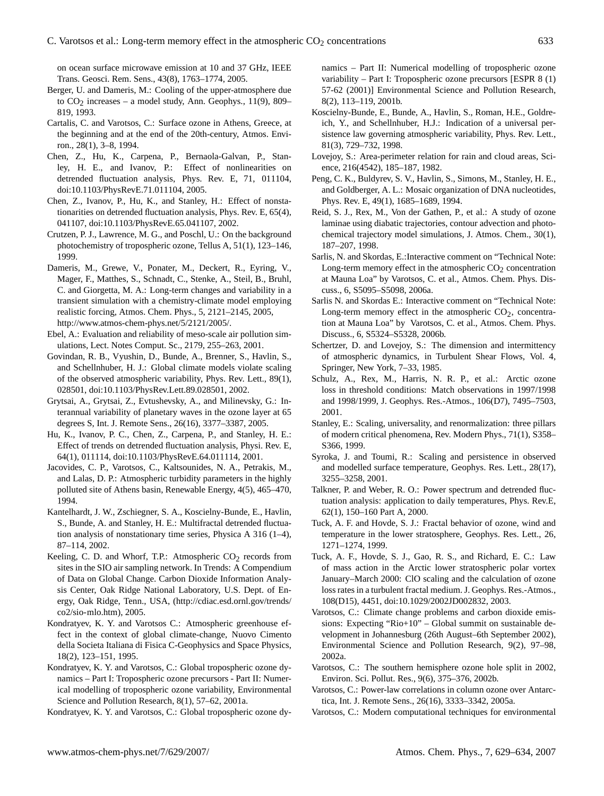on ocean surface microwave emission at 10 and 37 GHz, IEEE Trans. Geosci. Rem. Sens., 43(8), 1763–1774, 2005.

- Berger, U. and Dameris, M.: Cooling of the upper-atmosphere due to  $CO<sub>2</sub>$  increases – a model study, Ann. Geophys., 11(9), 809– 819, 1993.
- Cartalis, C. and Varotsos, C.: Surface ozone in Athens, Greece, at the beginning and at the end of the 20th-century, Atmos. Environ., 28(1), 3–8, 1994.
- Chen, Z., Hu, K., Carpena, P., Bernaola-Galvan, P., Stanley, H. E., and Ivanov, P.: Effect of nonlinearities on detrended fluctuation analysis, Phys. Rev. E, 71, 011104, doi:10.1103/PhysRevE.71.011104, 2005.
- Chen, Z., Ivanov, P., Hu, K., and Stanley, H.: Effect of nonstationarities on detrended fluctuation analysis, Phys. Rev. E, 65(4), 041107, doi:10.1103/PhysRevE.65.041107, 2002.
- Crutzen, P. J., Lawrence, M. G., and Poschl, U.: On the background photochemistry of tropospheric ozone, Tellus A, 51(1), 123–146, 1999.
- Dameris, M., Grewe, V., Ponater, M., Deckert, R., Eyring, V., Mager, F., Matthes, S., Schnadt, C., Stenke, A., Steil, B., Bruhl, C. and Giorgetta, M. A.: Long-term changes and variability in a transient simulation with a chemistry-climate model employing realistic forcing, Atmos. Chem. Phys., 5, 2121–2145, 2005, [http://www.atmos-chem-phys.net/5/2121/2005/.](http://www.atmos-chem-phys.net/5/2121/2005/)
- Ebel, A.: Evaluation and reliability of meso-scale air pollution simulations, Lect. Notes Comput. Sc., 2179, 255–263, 2001.
- Govindan, R. B., Vyushin, D., Bunde, A., Brenner, S., Havlin, S., and Schellnhuber, H. J.: Global climate models violate scaling of the observed atmospheric variability, Phys. Rev. Lett., 89(1), 028501, doi:10.1103/PhysRev.Lett.89.028501, 2002.
- Grytsai, A., Grytsai, Z., Evtushevsky, A., and Milinevsky, G.: Interannual variability of planetary waves in the ozone layer at 65 degrees S, Int. J. Remote Sens., 26(16), 3377–3387, 2005.
- Hu, K., Ivanov, P. C., Chen, Z., Carpena, P., and Stanley, H. E.: Effect of trends on detrended fluctuation analysis, Physi. Rev. E, 64(1), 011114, doi:10.1103/PhysRevE.64.011114, 2001.
- Jacovides, C. P., Varotsos, C., Kaltsounides, N. A., Petrakis, M., and Lalas, D. P.: Atmospheric turbidity parameters in the highly polluted site of Athens basin, Renewable Energy, 4(5), 465–470, 1994.
- Kantelhardt, J. W., Zschiegner, S. A., Koscielny-Bunde, E., Havlin, S., Bunde, A. and Stanley, H. E.: Multifractal detrended fluctuation analysis of nonstationary time series, Physica A 316 (1–4), 87–114, 2002.
- Keeling, C. D. and Whorf, T.P.: Atmospheric  $CO<sub>2</sub>$  records from sites in the SIO air sampling network. In Trends: A Compendium of Data on Global Change. Carbon Dioxide Information Analysis Center, Oak Ridge National Laboratory, U.S. Dept. of Energy, Oak Ridge, Tenn., USA, [\(http://cdiac.esd.ornl.gov/trends/](http://cdiac.esd.ornl.gov/trends/co2/sio-mlo.htm) [co2/sio-mlo.htm\)](http://cdiac.esd.ornl.gov/trends/co2/sio-mlo.htm), 2005.
- Kondratyev, K. Y. and Varotsos C.: Atmospheric greenhouse effect in the context of global climate-change, Nuovo Cimento della Societa Italiana di Fisica C-Geophysics and Space Physics, 18(2), 123–151, 1995.
- Kondratyev, K. Y. and Varotsos, C.: Global tropospheric ozone dynamics – Part I: Tropospheric ozone precursors - Part II: Numerical modelling of tropospheric ozone variability, Environmental Science and Pollution Research, 8(1), 57–62, 2001a.

Kondratyev, K. Y. and Varotsos, C.: Global tropospheric ozone dy-

namics – Part II: Numerical modelling of tropospheric ozone variability – Part I: Tropospheric ozone precursors [ESPR 8 (1) 57-62 (2001)] Environmental Science and Pollution Research, 8(2), 113–119, 2001b.

- Koscielny-Bunde, E., Bunde, A., Havlin, S., Roman, H.E., Goldreich, Y., and Schellnhuber, H.J.: Indication of a universal persistence law governing atmospheric variability, Phys. Rev. Lett., 81(3), 729–732, 1998.
- Lovejoy, S.: Area-perimeter relation for rain and cloud areas, Science, 216(4542), 185–187, 1982.
- Peng, C. K., Buldyrev, S. V., Havlin, S., Simons, M., Stanley, H. E., and Goldberger, A. L.: Mosaic organization of DNA nucleotides, Phys. Rev. E, 49(1), 1685–1689, 1994.
- Reid, S. J., Rex, M., Von der Gathen, P., et al.: A study of ozone laminae using diabatic trajectories, contour advection and photochemical trajectory model simulations, J. Atmos. Chem., 30(1), 187–207, 1998.
- Sarlis, N. and Skordas, E.:Interactive comment on "Technical Note: Long-term memory effect in the atmospheric  $CO<sub>2</sub>$  concentration at Mauna Loa" by Varotsos, C. et al., Atmos. Chem. Phys. Discuss., 6, S5095–S5098, 2006a.
- Sarlis N. and Skordas E.: Interactive comment on "Technical Note: Long-term memory effect in the atmospheric  $CO<sub>2</sub>$ , concentration at Mauna Loa" by Varotsos, C. et al., Atmos. Chem. Phys. Discuss., 6, S5324–S5328, 2006b.
- Schertzer, D. and Lovejoy, S.: The dimension and intermittency of atmospheric dynamics, in Turbulent Shear Flows, Vol. 4, Springer, New York, 7–33, 1985.
- Schulz, A., Rex, M., Harris, N. R. P., et al.: Arctic ozone loss in threshold conditions: Match observations in 1997/1998 and 1998/1999, J. Geophys. Res.-Atmos., 106(D7), 7495–7503, 2001.
- Stanley, E.: Scaling, universality, and renormalization: three pillars of modern critical phenomena, Rev. Modern Phys., 71(1), S358– S366, 1999.
- Syroka, J. and Toumi, R.: Scaling and persistence in observed and modelled surface temperature, Geophys. Res. Lett., 28(17), 3255–3258, 2001.
- Talkner, P. and Weber, R. O.: Power spectrum and detrended fluctuation analysis: application to daily temperatures, Phys. Rev.E, 62(1), 150–160 Part A, 2000.
- Tuck, A. F. and Hovde, S. J.: Fractal behavior of ozone, wind and temperature in the lower stratosphere, Geophys. Res. Lett., 26, 1271–1274, 1999.
- Tuck, A. F., Hovde, S. J., Gao, R. S., and Richard, E. C.: Law of mass action in the Arctic lower stratospheric polar vortex January–March 2000: ClO scaling and the calculation of ozone loss rates in a turbulent fractal medium. J. Geophys. Res.-Atmos., 108(D15), 4451, doi:10.1029/2002JD002832, 2003.
- Varotsos, C.: Climate change problems and carbon dioxide emissions: Expecting "Rio+10" – Global summit on sustainable development in Johannesburg (26th August–6th September 2002), Environmental Science and Pollution Research, 9(2), 97–98, 2002a.
- Varotsos, C.: The southern hemisphere ozone hole split in 2002, Environ. Sci. Pollut. Res., 9(6), 375–376, 2002b.
- Varotsos, C.: Power-law correlations in column ozone over Antarctica, Int. J. Remote Sens., 26(16), 3333–3342, 2005a.
- Varotsos, C.: Modern computational techniques for environmental